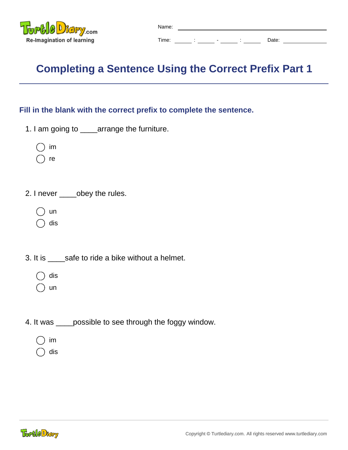

## **Completing a Sentence Using the Correct Prefix Part 1**

## **Fill in the blank with the correct prefix to complete the sentence.**

- 1. I am going to \_\_\_\_arrange the furniture.
	- im
	- re
- 2. I never \_\_\_\_\_obey the rules.
	- un
	- dis
- 3. It is \_\_\_\_safe to ride a bike without a helmet.
	- dis
	- un
- 4. It was \_\_\_\_possible to see through the foggy window.
	- im
	- dis

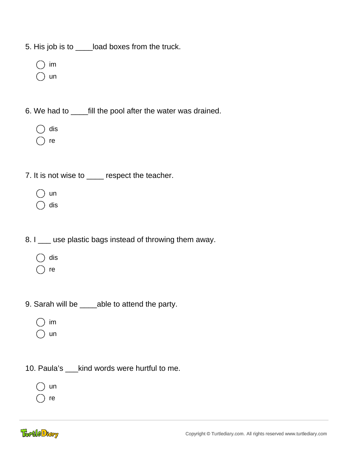5. His job is to \_\_\_\_load boxes from the truck.

- im
- un
- 6. We had to \_\_\_\_fill the pool after the water was drained.
	- dis
	- re
- 7. It is not wise to \_\_\_\_ respect the teacher.
	- un
	- dis
- 8. I \_\_\_ use plastic bags instead of throwing them away.
	- dis
	- re
- 9. Sarah will be \_\_\_\_able to attend the party.
	- im
	- un
- 10. Paula's \_\_\_kind words were hurtful to me.
	- un
	- re